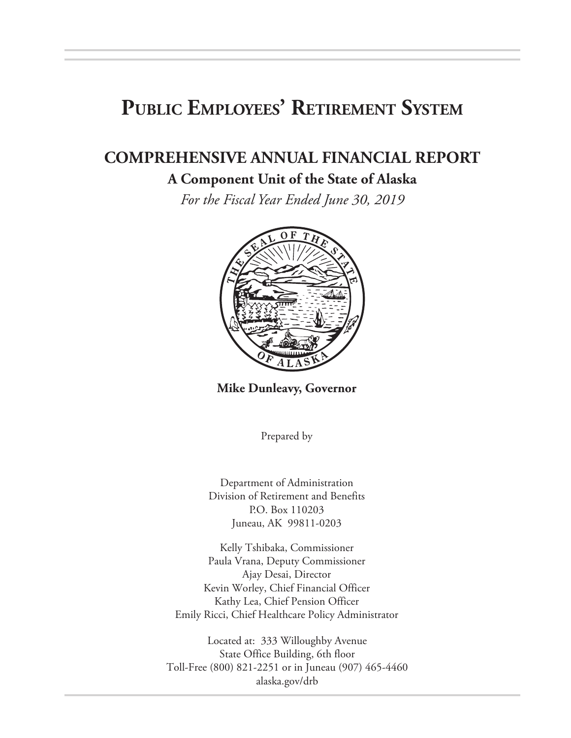# **Public Employees' Retirement System**

# **COMPREHENSIVE ANNUAL FINANCIAL REPORT**

#### **A Component Unit of the State of Alaska**

*For the Fiscal Year Ended June 30, 2019*



**Mike Dunleavy, Governor**

Prepared by

Department of Administration Division of Retirement and Benefits P.O. Box 110203 Juneau, AK 99811-0203

Kelly Tshibaka, Commissioner Paula Vrana, Deputy Commissioner Ajay Desai, Director Kevin Worley, Chief Financial Officer Kathy Lea, Chief Pension Officer Emily Ricci, Chief Healthcare Policy Administrator

Located at: 333 Willoughby Avenue State Office Building, 6th floor Toll-Free (800) 821-2251 or in Juneau (907) 465-4460 alaska.gov/drb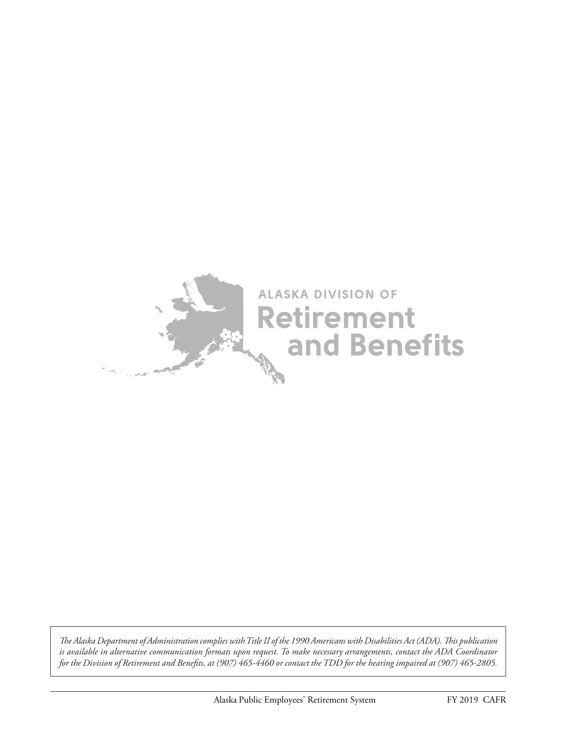

*The Alaska Department of Administration complies with Title II of the 1990 Americans with Disabilities Act (ADA). This publication is available in alternative communication formats upon request. To make necessary arrangements, contact the ADA Coordinator for the Division of Retirement and Benefits, at (907) 465-4460 or contact the TDD for the hearing impaired at (907) 465-2805.*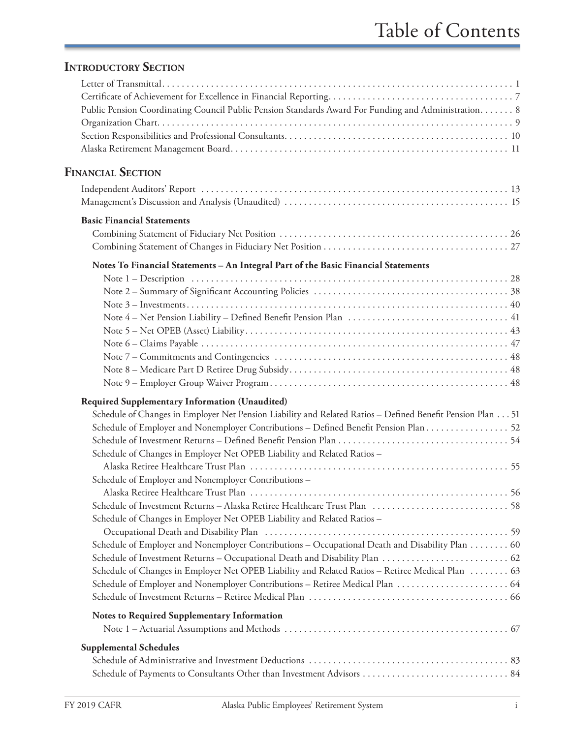### **INTRODUCTORY SECTION**

| Public Pension Coordinating Council Public Pension Standards Award For Funding and Administration. 8       |  |
|------------------------------------------------------------------------------------------------------------|--|
|                                                                                                            |  |
|                                                                                                            |  |
|                                                                                                            |  |
| <b>FINANCIAL SECTION</b>                                                                                   |  |
|                                                                                                            |  |
| <b>Basic Financial Statements</b>                                                                          |  |
|                                                                                                            |  |
|                                                                                                            |  |
| Notes To Financial Statements - An Integral Part of the Basic Financial Statements                         |  |
|                                                                                                            |  |
|                                                                                                            |  |
|                                                                                                            |  |
|                                                                                                            |  |
|                                                                                                            |  |
|                                                                                                            |  |
|                                                                                                            |  |
|                                                                                                            |  |
|                                                                                                            |  |
| <b>Required Supplementary Information (Unaudited)</b>                                                      |  |
| Schedule of Changes in Employer Net Pension Liability and Related Ratios - Defined Benefit Pension Plan 51 |  |
| Schedule of Employer and Nonemployer Contributions - Defined Benefit Pension Plan 52                       |  |
|                                                                                                            |  |
| Schedule of Changes in Employer Net OPEB Liability and Related Ratios -                                    |  |
| Schedule of Employer and Nonemployer Contributions-                                                        |  |
|                                                                                                            |  |
|                                                                                                            |  |
| Schedule of Changes in Employer Net OPEB Liability and Related Ratios -                                    |  |
| Schedule of Employer and Nonemployer Contributions - Occupational Death and Disability Plan  60            |  |
|                                                                                                            |  |
| Schedule of Changes in Employer Net OPEB Liability and Related Ratios - Retiree Medical Plan  63           |  |
|                                                                                                            |  |
|                                                                                                            |  |
| <b>Notes to Required Supplementary Information</b>                                                         |  |
|                                                                                                            |  |
| <b>Supplemental Schedules</b>                                                                              |  |
|                                                                                                            |  |
|                                                                                                            |  |